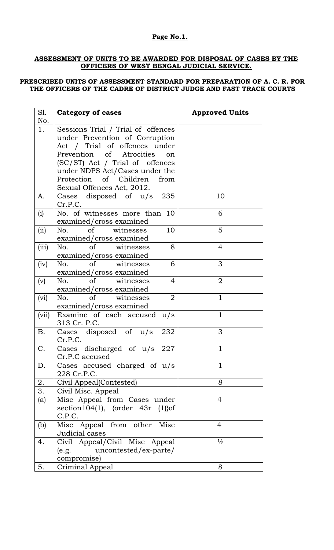### **Page No.1.**

#### **ASSESSMENT OF UNITS TO BE AWARDED FOR DISPOSAL OF CASES BY THE OFFICERS OF WEST BENGAL JUDICIAL SERVICE.**

#### **PRESCRIBED UNITS OF ASSESSMENT STANDARD FOR PREPARATION OF A. C. R. FOR THE OFFICERS OF THE CADRE OF DISTRICT JUDGE AND FAST TRACK COURTS**

| S1.       | <b>Category of cases</b>                       | <b>Approved Units</b> |
|-----------|------------------------------------------------|-----------------------|
| No.       |                                                |                       |
| 1.        | Sessions Trial / Trial of offences             |                       |
|           | under Prevention of Corruption                 |                       |
|           | Act / Trial of offences under                  |                       |
|           | Prevention of Atrocities<br>on                 |                       |
|           | (SC/ST) Act / Trial of offences                |                       |
|           | under NDPS Act/Cases under the                 |                       |
|           | Protection of Children<br>from                 |                       |
|           | Sexual Offences Act, 2012.                     |                       |
| A.        | Cases disposed of $u/s$ 235                    | 10                    |
|           | Cr.P.C.                                        |                       |
| (i)       | No. of witnesses more than 10                  | 6                     |
|           | examined/cross examined                        |                       |
| (ii)      | 10<br>of witnesses<br>No.                      | 5                     |
|           | examined/cross examined                        |                       |
| (iii)     | 8<br>No.<br>of<br>witnesses                    | $\overline{4}$        |
|           | examined/cross examined                        |                       |
| (iv)      | No.<br><sub>of</sub><br>witnesses<br>6         | 3                     |
|           | examined/cross examined                        |                       |
| (v)       | No. of<br>witnesses<br>4                       | $\overline{2}$        |
|           | examined/cross examined                        |                       |
| (vi)      | $\sigma$<br>$\overline{2}$<br>witnesses<br>No. | $\mathbf{1}$          |
|           | examined/cross examined                        |                       |
| (vii)     | Examine of each accused u/s                    | $\mathbf{1}$          |
|           | 313 Cr. P.C.                                   |                       |
| <b>B.</b> | Cases disposed of $u/s$<br>232                 | 3                     |
|           | Cr.P.C.                                        |                       |
| C.        | Cases discharged of $u/s$<br>227               | 1                     |
|           | Cr.P.C accused                                 |                       |
| D.        | Cases accused charged of u/s                   | 1                     |
|           | 228 Cr.P.C.                                    |                       |
| 2.        | Civil Appeal(Contested)                        | 8                     |
| 3.        | Civil Misc. Appeal                             |                       |
| (a)       | Misc Appeal from Cases under                   | $\overline{4}$        |
|           | section $104(1)$ , {order 43r (1)} of          |                       |
|           | C.P.C.                                         |                       |
| (b)       | Misc Appeal from other<br>Misc                 | $\overline{4}$        |
|           | Judicial cases                                 |                       |
| 4.        | Civil Appeal/Civil Misc Appeal                 | $\frac{1}{2}$         |
|           | uncontested/ex-parte/<br>(e.g.                 |                       |
|           | compromise)                                    |                       |
| 5.        | Criminal Appeal                                | 8                     |
|           |                                                |                       |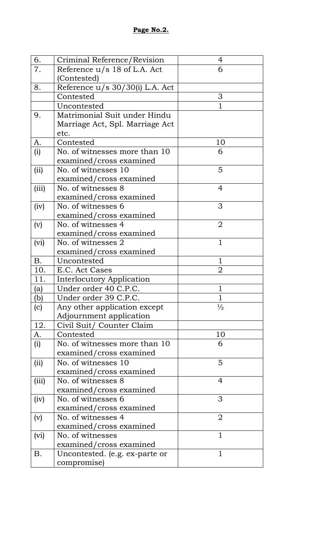| 6.    | Criminal Reference/Revision                   | 4              |
|-------|-----------------------------------------------|----------------|
| 7.    | Reference u/s 18 of L.A. Act                  | 6              |
|       | (Contested)                                   |                |
| 8.    | Reference u/s 30/30(i) L.A. Act               |                |
|       | Contested                                     | 3              |
|       | Uncontested                                   | 1              |
| 9.    | Matrimonial Suit under Hindu                  |                |
|       | Marriage Act, Spl. Marriage Act               |                |
|       | etc.                                          |                |
| A.    | Contested                                     | 10             |
| (i)   | No. of witnesses more than 10                 | 6              |
|       | examined/cross examined                       |                |
| (ii)  | No. of witnesses 10                           | 5              |
|       | examined/cross examined                       |                |
| (iii) | No. of witnesses 8                            | $\overline{4}$ |
|       | examined/cross examined                       |                |
| (iv)  | No. of witnesses 6                            | 3              |
|       | examined/cross examined                       |                |
| (v)   | No. of witnesses 4                            | $\overline{2}$ |
|       | examined/cross examined                       |                |
| (vi)  | No. of witnesses 2                            | $\mathbf{1}$   |
|       | examined/cross examined                       |                |
| В.    | Uncontested                                   | $\mathbf{1}$   |
| 10.   | E.C. Act Cases                                | $\overline{2}$ |
| 11.   | Interlocutory Application                     |                |
| (a)   | Under order 40 C.P.C.                         | 1              |
| (b)   | Under order 39 C.P.C.                         | 1              |
| (c)   | Any other application except                  | $\frac{1}{2}$  |
|       | Adjournment application                       |                |
| 12.   | Civil Suit/ Counter Claim                     |                |
| А.    | Contested                                     | 10             |
| (i)   | No. of witnesses more than 10                 | 6              |
|       | examined/cross examined                       |                |
| (ii)  | No. of witnesses 10                           | 5              |
|       | examined/cross examined                       |                |
| (iii) | No. of witnesses 8                            | $\overline{4}$ |
|       | examined/cross examined                       | 3              |
| (iv)  | No. of witnesses 6                            |                |
|       | examined/cross examined<br>No. of witnesses 4 | $\overline{2}$ |
| (v)   | examined/cross examined                       |                |
|       | No. of witnesses                              | $\mathbf{1}$   |
| (vi)  | examined/cross examined                       |                |
| Β.    | Uncontested. (e.g. ex-parte or                | $\mathbf{1}$   |
|       | compromise)                                   |                |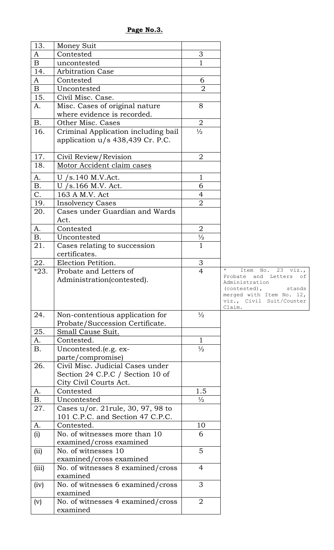| 13.         | Money Suit                                     |                |                                                      |
|-------------|------------------------------------------------|----------------|------------------------------------------------------|
| A           | Contested                                      | 3              |                                                      |
| $\mathbf B$ | uncontested                                    | 1              |                                                      |
| 14.         | <b>Arbitration Case</b>                        |                |                                                      |
| A           | Contested                                      | 6              |                                                      |
| $\mathbf B$ | Uncontested                                    | $\overline{2}$ |                                                      |
| 15.         | Civil Misc. Case.                              |                |                                                      |
| A.          | Misc. Cases of original nature                 | 8              |                                                      |
|             | where evidence is recorded.                    |                |                                                      |
| <b>B.</b>   | Other Misc. Cases                              | $\overline{2}$ |                                                      |
| 16.         | Criminal Application including bail            | $\frac{1}{2}$  |                                                      |
|             | application u/s 438,439 Cr. P.C.               |                |                                                      |
| 17.         | Civil Review/Revision                          | $\overline{2}$ |                                                      |
| 18.         | Motor Accident claim cases                     |                |                                                      |
| A.          | U $/s.140$ M.V.Act.                            | 1              |                                                      |
| <b>B.</b>   | U /s.166 M.V. Act.                             | 6              |                                                      |
| C.          | 163 A M.V. Act                                 | $\overline{4}$ |                                                      |
| 19.         | <b>Insolvency Cases</b>                        | $\overline{2}$ |                                                      |
| 20.         | Cases under Guardian and Wards                 |                |                                                      |
|             | Act.                                           |                |                                                      |
| A.          | Contested                                      | $\overline{2}$ |                                                      |
| <b>B.</b>   | Uncontested                                    | $\frac{1}{2}$  |                                                      |
| 21.         | Cases relating to succession                   | $\overline{1}$ |                                                      |
|             | certificates.                                  |                |                                                      |
| 22.         | Election Petition.                             | 3              |                                                      |
| $*23.$      | Probate and Letters of                         | $\overline{4}$ | 23<br>$\mathbb{N} \circ$ .<br>viz.<br>Item           |
|             | Administration(contested).                     |                | and Letters<br>Probate<br>оf<br>Administration       |
|             |                                                |                | stands<br>(contested),                               |
|             |                                                |                | merged with Item No. 12,<br>viz., Civil Suit/Counter |
|             |                                                |                | Claim.                                               |
| 24.         | Non-contentious application for                | $\frac{1}{2}$  |                                                      |
|             | Probate/Succession Certificate.                |                |                                                      |
| 25.         | Small Cause Suit.                              |                |                                                      |
| A.          | Contested.                                     | $\mathbf{1}$   |                                                      |
| <b>B.</b>   | Uncontested.(e.g. ex-                          | $\frac{1}{2}$  |                                                      |
|             | parte/compromise)                              |                |                                                      |
| 26.         | Civil Misc. Judicial Cases under               |                |                                                      |
|             | Section 24 C.P.C / Section 10 of               |                |                                                      |
|             | City Civil Courts Act.                         |                |                                                      |
| A.          | Contested                                      | 1.5            |                                                      |
| <b>B.</b>   | Uncontested                                    | $\frac{1}{2}$  |                                                      |
| 27.         | Cases $u$ /or. 21 rule, 30, 97, 98 to          |                |                                                      |
|             | 101 C.P.C. and Section 47 C.P.C.               |                |                                                      |
| A.          | Contested.                                     | 10             |                                                      |
| (i)         | No. of witnesses more than 10                  | 6              |                                                      |
|             | examined/cross examined<br>No. of witnesses 10 | 5              |                                                      |
| (ii)        | examined/cross examined                        |                |                                                      |
| (iii)       | No. of witnesses 8 examined/cross              | $\overline{4}$ |                                                      |
|             | examined                                       |                |                                                      |
| (iv)        | No. of witnesses 6 examined/cross              | 3              |                                                      |
|             |                                                |                |                                                      |
|             | examined                                       |                |                                                      |
| (v)         | No. of witnesses 4 examined/cross              | $\overline{2}$ |                                                      |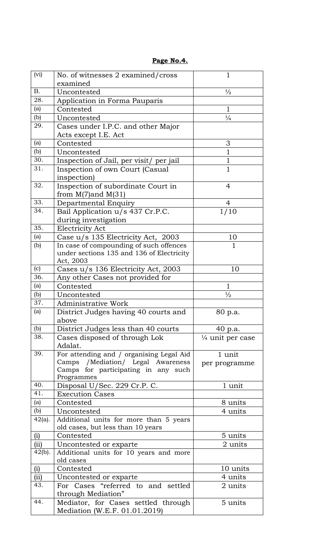| (vi)            | No. of witnesses 2 examined/cross                   | 1                           |
|-----------------|-----------------------------------------------------|-----------------------------|
|                 | examined                                            |                             |
| <b>B.</b>       | Uncontested                                         | $\frac{1}{2}$               |
| 28.             | Application in Forma Pauparis                       |                             |
| (a)             | Contested                                           | $\mathbf{1}$                |
| (b)             | Uncontested                                         | $\frac{1}{4}$               |
| 29.             | Cases under I.P.C. and other Major                  |                             |
|                 | Acts except I.E. Act                                |                             |
| (a)             | Contested                                           | 3                           |
| (b)             | Uncontested                                         | $\mathbf{1}$                |
| 30.             | Inspection of Jail, per visit/ per jail             | 1                           |
| 31.             | Inspection of own Court (Casual                     | $\mathbf{1}$                |
|                 | inspection)                                         |                             |
| 32.             | Inspection of subordinate Court in                  | 4                           |
|                 | from $M(7)$ and $M(31)$                             |                             |
| 33.             | Departmental Enquiry                                | 4                           |
| 34.             | Bail Application u/s 437 Cr.P.C.                    | 1/10                        |
|                 | during investigation                                |                             |
| 35.             | Electricity Act                                     |                             |
| (a)             | Case u/s 135 Electricity Act, 2003                  | 10                          |
| (b)             | In case of compounding of such offences             | $\mathbf{1}$                |
|                 | under sections 135 and 136 of Electricity           |                             |
|                 | Act, 2003                                           |                             |
| (c)             | Cases u/s 136 Electricity Act, 2003                 | 10                          |
| 36.             | Any other Cases not provided for                    |                             |
| (a)             | Contested                                           | $\mathbf{1}$                |
| (b)             | Uncontested                                         | $\frac{1}{2}$               |
| 37.             | <b>Administrative Work</b>                          |                             |
| (a)             | District Judges having 40 courts and                | 80 p.a.                     |
|                 | above                                               |                             |
| (b)             | District Judges less than 40 courts                 | 40 p.a.                     |
| 38.             | Cases disposed of through Lok<br>Adalat.            | $\frac{1}{4}$ unit per case |
| 39.             | For attending and / organising Legal Aid            | 1 unit                      |
|                 | Camps / Mediation/ Legal Awareness                  | per programme               |
|                 | Camps for participating in any such                 |                             |
| 40.             | Programmes                                          |                             |
| 41.             | Disposal U/Sec. 229 Cr.P. C.                        | 1 unit                      |
|                 | <b>Execution Cases</b>                              |                             |
| (a)             | Contested                                           | 8 units                     |
| (b)             | Uncontested                                         | 4 units                     |
| $42(a)$ .       | Additional units for more than 5 years              |                             |
|                 | old cases, but less than 10 years<br>Contested      |                             |
| (i)             |                                                     | 5 units                     |
| (iii)<br>42(b). | Uncontested or exparte                              | 2 units                     |
|                 | Additional units for 10 years and more<br>old cases |                             |
| (i)             | Contested                                           | 10 units                    |
| (ii)            | Uncontested or exparte                              | 4 units                     |
| 43.             | For Cases "referred to and settled                  | 2 units                     |
|                 | through Mediation"                                  |                             |
| 44.             | Mediator, for Cases settled through                 | 5 units                     |
|                 | Mediation (W.E.F. 01.01.2019)                       |                             |

# **Page No.4.**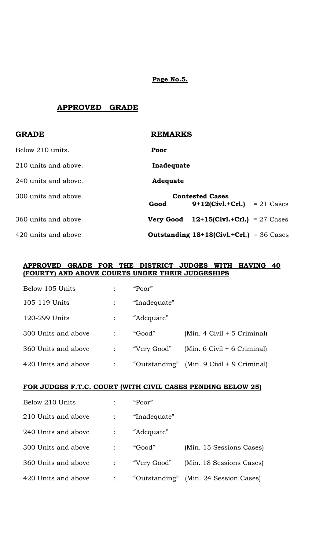**Page No.5.**

# **APPROVED GRADE**

| <b>GRADE</b>         | <b>REMARKS</b>   |                                                          |  |
|----------------------|------------------|----------------------------------------------------------|--|
| Below 210 units.     | Poor             |                                                          |  |
| 210 units and above. | Inadequate       |                                                          |  |
| 240 units and above. | <b>Adequate</b>  |                                                          |  |
| 300 units and above. | Good             | <b>Contested Cases</b><br>$9+12$ (Civl.+Crl.) = 21 Cases |  |
| 360 units and above  | <b>Very Good</b> | 12+15(Civl.+Crl.) = $27$ Cases                           |  |
| 420 units and above  |                  | <b>Outstanding 18+18(Civl.+Crl.)</b> = 36 Cases          |  |

#### **APPROVED GRADE FOR THE DISTRICT JUDGES WITH HAVING 40 (FOURTY) AND ABOVE COURTS UNDER THEIR JUDGESHIPS**

| Below 105 Units     | "Poor"       |                                               |
|---------------------|--------------|-----------------------------------------------|
| 105-119 Units       | "Inadequate" |                                               |
| 120-299 Units       | "Adequate"   |                                               |
| 300 Units and above | "Good"       | $(Min. 4 Civil + 5 Criminal)$                 |
| 360 Units and above | "Very Good"  | (Min. $6$ Civil $+ 6$ Criminal)               |
| 420 Units and above |              | "Outstanding" (Min. $9$ Civil + $9$ Criminal) |

### **FOR JUDGES F.T.C. COURT (WITH CIVIL CASES PENDING BELOW 25)**

| Below 210 Units     |                | "Poor"       |                                       |
|---------------------|----------------|--------------|---------------------------------------|
| 210 Units and above |                | "Inadequate" |                                       |
| 240 Units and above | $\mathbb{R}^n$ | "Adequate"   |                                       |
| 300 Units and above |                | "Good"       | (Min. 15 Sessions Cases)              |
| 360 Units and above |                | "Very Good"  | (Min. 18 Sessions Cases)              |
| 420 Units and above |                |              | "Outstanding" (Min. 24 Session Cases) |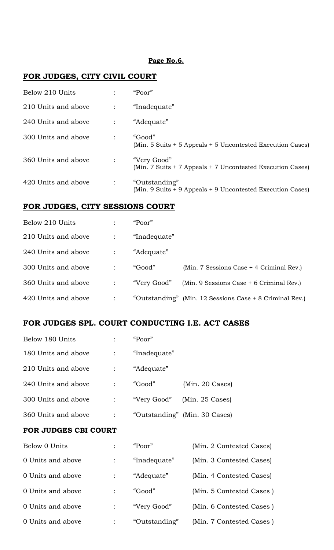#### **Page No.6.**

# **FOR JUDGES, CITY CIVIL COURT**

| Below 210 Units     |   | "Poor"                                                                      |
|---------------------|---|-----------------------------------------------------------------------------|
| 210 Units and above |   | "Inadequate"                                                                |
| 240 Units and above |   | "Adequate"                                                                  |
| 300 Units and above | ÷ | "Good"<br>(Min. 5 Suits + 5 Appeals + 5 Uncontested Execution Cases)        |
| 360 Units and above |   | "Very Good"<br>(Min. 7 Suits + 7 Appeals + 7 Uncontested Execution Cases)   |
| 420 Units and above |   | "Outstanding"<br>(Min. 9 Suits + 9 Appeals + 9 Uncontested Execution Cases) |

# **FOR JUDGES, CITY SESSIONS COURT**

| Below 210 Units     | "Poor"       |                                                         |
|---------------------|--------------|---------------------------------------------------------|
| 210 Units and above | "Inadequate" |                                                         |
| 240 Units and above | "Adequate"   |                                                         |
| 300 Units and above | "Good"       | (Min. 7 Sessions Case + 4 Criminal Rev.)                |
| 360 Units and above | "Very Good"  | (Min. 9 Sessions Case $+$ 6 Criminal Rev.)              |
| 420 Units and above |              | "Outstanding" (Min. 12 Sessions Case + 8 Criminal Rev.) |

## **FOR JUDGES SPL. COURT CONDUCTING I.E. ACT CASES**

| Below 180 Units     |              | "Poor"       |                               |
|---------------------|--------------|--------------|-------------------------------|
| 180 Units and above |              | "Inadequate" |                               |
| 210 Units and above |              | "Adequate"   |                               |
| 240 Units and above | $\mathbb{Z}$ | "Good"       | $(Min. 20 \text{ Cases})$     |
| 300 Units and above |              | "Very Good"  | $(Min. 25 \text{ Cases})$     |
| 360 Units and above |              |              | "Outstanding" (Min. 30 Cases) |

#### **FOR JUDGES CBI COURT**

| Below 0 Units     | "Poor"        | (Min. 2 Contested Cases) |
|-------------------|---------------|--------------------------|
| 0 Units and above | "Inadequate"  | (Min. 3 Contested Cases) |
| 0 Units and above | "Adequate"    | (Min. 4 Contested Cases) |
| 0 Units and above | "Good"        | (Min. 5 Contested Cases) |
| 0 Units and above | "Very Good"   | (Min. 6 Contested Cases) |
| 0 Units and above | "Outstanding" | (Min. 7 Contested Cases) |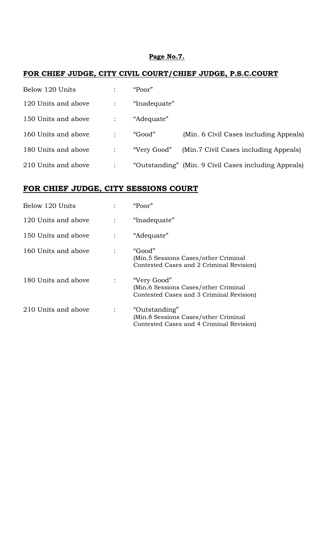### **Page No.7.**

# **FOR CHIEF JUDGE, CITY CIVIL COURT/CHIEF JUDGE, P.S.C.COURT**

| Below 120 Units     |                | "Poor"       |                                                      |
|---------------------|----------------|--------------|------------------------------------------------------|
| 120 Units and above |                | "Inadequate" |                                                      |
| 150 Units and above |                | "Adequate"   |                                                      |
| 160 Units and above |                | "Good"       | (Min. 6 Civil Cases including Appeals)               |
| 180 Units and above | $\ddot{\cdot}$ | "Very Good"  | (Min.7 Civil Cases including Appeals)                |
| 210 Units and above |                |              | "Outstanding" (Min. 9 Civil Cases including Appeals) |

# **FOR CHIEF JUDGE, CITY SESSIONS COURT**

| Below 120 Units     | "Poor"                                                                                            |
|---------------------|---------------------------------------------------------------------------------------------------|
| 120 Units and above | "Inadequate"                                                                                      |
| 150 Units and above | "Adequate"                                                                                        |
| 160 Units and above | "Good"<br>(Min.5 Sessions Cases/other Criminal)<br>Contested Cases and 2 Criminal Revision)       |
| 180 Units and above | "Very Good"<br>(Min.6 Sessions Cases/other Criminal<br>Contested Cases and 3 Criminal Revision)   |
| 210 Units and above | "Outstanding"<br>(Min.8 Sessions Cases/other Criminal<br>Contested Cases and 4 Criminal Revision) |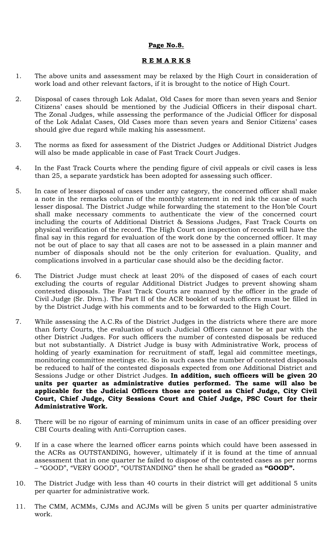### **Page No.8.**

#### **R E M A R K S**

- 1. The above units and assessment may be relaxed by the High Court in consideration of work load and other relevant factors, if it is brought to the notice of High Court.
- 2. Disposal of cases through Lok Adalat, Old Cases for more than seven years and Senior Citizens' cases should be mentioned by the Judicial Officers in their disposal chart. The Zonal Judges, while assessing the performance of the Judicial Officer for disposal of the Lok Adalat Cases, Old Cases more than seven years and Senior Citizens' cases should give due regard while making his assessment.
- 3. The norms as fixed for assessment of the District Judges or Additional District Judges will also be made applicable in case of Fast Track Court Judges.
- 4. In the Fast Track Courts where the pending figure of civil appeals or civil cases is less than 25, a separate yardstick has been adopted for assessing such officer.
- 5. In case of lesser disposal of cases under any category, the concerned officer shall make a note in the remarks column of the monthly statement in red ink the cause of such lesser disposal. The District Judge while forwarding the statement to the Hon'ble Court shall make necessary comments to authenticate the view of the concerned court including the courts of Additional District & Sessions Judges, Fast Track Courts on physical verification of the record. The High Court on inspection of records will have the final say in this regard for evaluation of the work done by the concerned officer. It may not be out of place to say that all cases are not to be assessed in a plain manner and number of disposals should not be the only criterion for evaluation. Quality, and complications involved in a particular case should also be the deciding factor.
- 6. The District Judge must check at least 20% of the disposed of cases of each court excluding the courts of regular Additional District Judges to prevent showing sham contested disposals. The Fast Track Courts are manned by the officer in the grade of Civil Judge (Sr. Divn.). The Part II of the ACR booklet of such officers must be filled in by the District Judge with his comments and to be forwarded to the High Court.
- 7. While assessing the A.C.Rs of the District Judges in the districts where there are more than forty Courts, the evaluation of such Judicial Officers cannot be at par with the other District Judges. For such officers the number of contested disposals be reduced but not substantially. A District Judge is busy with Administrative Work, process of holding of yearly examination for recruitment of staff, legal aid committee meetings, monitoring committee meetings etc. So in such cases the number of contested disposals be reduced to half of the contested disposals expected from one Additional District and Sessions Judge or other District Judges. **In addition, such officers will be given 20 units per quarter as administrative duties performed. The same will also be applicable for the Judicial Officers those are posted as Chief Judge, City Civil Court, Chief Judge, City Sessions Court and Chief Judge, PSC Court for their Administrative Work.**
- 8. There will be no rigour of earning of minimum units in case of an officer presiding over CBI Courts dealing with Anti-Corruption cases.
- 9. If in a case where the learned officer earns points which could have been assessed in the ACRs as OUTSTANDING, however, ultimately if it is found at the time of annual assessment that in one quarter he failed to dispose of the contested cases as per norms – "GOOD", "VERY GOOD", "OUTSTANDING" then he shall be graded as **"GOOD".**
- 10. The District Judge with less than 40 courts in their district will get additional 5 units per quarter for administrative work.
- 11. The CMM, ACMMs, CJMs and ACJMs will be given 5 units per quarter administrative work.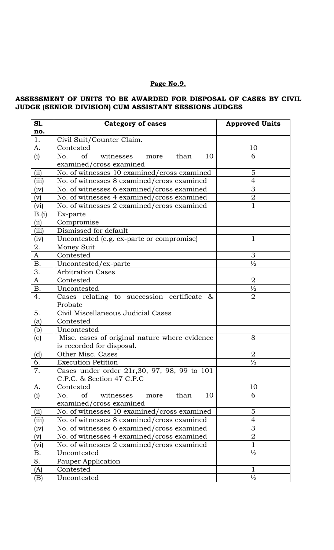# **Page No.9.**

# **ASSESSMENT OF UNITS TO BE AWARDED FOR DISPOSAL OF CASES BY CIVIL JUDGE (SENIOR DIVISION) CUM ASSISTANT SESSIONS JUDGES**

| S1.<br>no.     | <b>Category of cases</b>                      | <b>Approved Units</b> |
|----------------|-----------------------------------------------|-----------------------|
| 1.             | Civil Suit/Counter Claim.                     |                       |
| A.             | Contested                                     | 10                    |
| (i)            | of witnesses more<br>No.<br>10<br>than        | 6                     |
|                | examined/cross examined                       |                       |
| (ii)           | No. of witnesses 10 examined/cross examined   | 5                     |
| (iii)          | No. of witnesses 8 examined/cross examined    | $\overline{4}$        |
| (iv)           | No. of witnesses 6 examined/cross examined    | 3                     |
| (v)            | No. of witnesses 4 examined/cross examined    | $\mathbf 2$           |
| (vi)           | No. of witnesses 2 examined/cross examined    | $\mathbf{1}$          |
| B.(i)          | Ex-parte                                      |                       |
| (ii)           | Compromise                                    |                       |
| (iii)          | Dismissed for default                         |                       |
| (iv)           | Uncontested (e.g. ex-parte or compromise)     | 1                     |
| 2.             | Money Suit                                    |                       |
| $\overline{A}$ | Contested                                     | 3                     |
| <b>B.</b>      | Uncontested/ex-parte                          | $\frac{1}{2}$         |
| 3.             | <b>Arbitration Cases</b>                      |                       |
| A              | Contested                                     | $\overline{2}$        |
| Β.             | Uncontested                                   | $\frac{1}{2}$         |
| 4.             | Cases relating to succession certificate<br>& | $\overline{2}$        |
|                | Probate                                       |                       |
| 5.             | Civil Miscellaneous Judicial Cases            |                       |
| (a)            | Contested                                     |                       |
| (b)            | Uncontested                                   |                       |
| (c)            | Misc. cases of original nature where evidence | 8                     |
|                | is recorded for disposal.                     |                       |
| (d)            | Other Misc. Cases                             | $\overline{2}$        |
| 6.             | <b>Execution Petition</b>                     | $\frac{1}{2}$         |
| 7.             | Cases under order 21r, 30, 97, 98, 99 to 101  |                       |
|                | C.P.C. & Section 47 C.P.C                     |                       |
| A.             | Contested                                     | 10                    |
| (i)            | No.<br>of<br>witnesses<br>more<br>than<br>10  | 6                     |
|                | examined/cross examined                       |                       |
| (ii)           | No. of witnesses 10 examined/cross examined   | 5                     |
| (iii)          | No. of witnesses 8 examined/cross examined    | 4                     |
| (iv)           | No. of witnesses 6 examined/cross examined    | $\mathfrak 3$         |
| (v)            | No. of witnesses 4 examined/cross examined    | $\mathbf 2$           |
| (vi)           | No. of witnesses 2 examined/cross examined    | $\mathbf{1}$          |
| В.             | Uncontested                                   | $\frac{1}{2}$         |
| 8.             | Pauper Application                            |                       |
| (A)            | Contested                                     | 1                     |
| (B)            | Uncontested                                   | $\frac{1}{2}$         |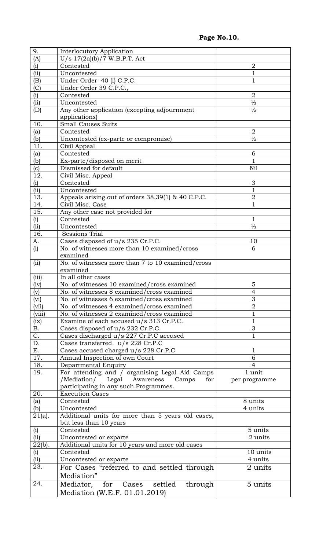**Page No.10.**

| 9.               | <b>Interlocutory Application</b>                   |                |
|------------------|----------------------------------------------------|----------------|
| (A)              | $U/s$ 17(2a)(b)/7 W.B.P.T. Act                     |                |
| (i)              | Contested                                          | $\overline{2}$ |
| (ii)             | Uncontested                                        | $\overline{1}$ |
| (B)              | Under Order 40 (i) C.P.C.                          | $\mathbf{1}$   |
| (C)              | Under Order 39 C.P.C.,                             |                |
| (i)              | Contested                                          | $\overline{2}$ |
| (ii)             | Uncontested                                        | $\frac{1}{2}$  |
|                  | Any other application (excepting adjournment       | $\frac{1}{2}$  |
| (D)              |                                                    |                |
| 10.              | applications)<br><b>Small Causes Suits</b>         |                |
|                  |                                                    | $\overline{2}$ |
| (a)              | Contested                                          |                |
| (b)              | Uncontested (ex-parte or compromise)               | $\frac{1}{2}$  |
| 11.              | Civil Appeal                                       |                |
| (a)              | Contested                                          | 6              |
| (b)              | Ex-parte/disposed on merit                         | $\mathbf{1}$   |
| (c)              | Dismissed for default                              | Nil            |
| 12.              | Civil Misc. Appeal                                 |                |
| (i)              | Contested                                          | 3              |
| (ii)             | Uncontested                                        | 1              |
| 13.              | Appeals arising out of orders 38,39(1) & 40 C.P.C. | $\overline{2}$ |
| 14.              | Civil Misc. Case                                   | $\mathbf 1$    |
| 15.              | Any other case not provided for                    |                |
| (i)              | Contested                                          | $\mathbf{1}$   |
| (ii)             | Uncontested                                        | $\frac{1}{2}$  |
| 16.              | <b>Sessions Trial</b>                              |                |
| А.               | Cases disposed of u/s 235 Cr.P.C.                  | 10             |
| (i)              | No. of witnesses more than 10 examined/cross       | 6              |
|                  | examined                                           |                |
| (ii)             | No. of witnesses more than 7 to 10 examined/cross  |                |
|                  | examined                                           |                |
| (iii)            | In all other cases                                 |                |
| (iv)             | No. of witnesses 10 examined/cross examined        | 5              |
| (v)              | No. of witnesses 8 examined/cross examined         | 4              |
| (vi)             | No. of witnesses 6 examined/cross examined         | 3              |
| (vii)            | No. of witnesses 4 examined/cross examined         | $\overline{2}$ |
| (viii)           | No. of witnesses 2 examined/cross examined         | $\mathbf{1}$   |
| (ix)             | Examine of each accused u/s 313 Cr.P.C.            | $\mathbf{1}$   |
| <b>B.</b>        | Cases disposed of u/s 232 Cr.P.C.                  | 3              |
| $\overline{C}$ . | Cases discharged u/s 227 Cr.P.C accused            | $\overline{1}$ |
| D.               | Cases transferred u/s 228 Cr.P.C                   |                |
| E.               | Cases accused charged u/s 228 Cr.P.C               | 1              |
| $\overline{1}7.$ | Annual Inspection of own Court                     | 6              |
| 18.              | Departmental Enquiry                               | 4              |
| 19.              | For attending and / organising Legal Aid Camps     | 1 unit         |
|                  | /Mediation/ Legal Awareness Camps<br>for           | per programme  |
|                  | participating in any such Programmes.              |                |
| 20.              | <b>Execution Cases</b>                             |                |
| (a)              | Contested                                          | 8 units        |
| (b)              | Uncontested                                        | 4 units        |
| $21(a)$ .        | Additional units for more than 5 years old cases,  |                |
|                  | but less than 10 years                             |                |
| (i)              | Contested                                          | 5 units        |
| (ii)             | Uncontested or exparte                             | 2 units        |
| $22(b)$ .        | Additional units for 10 years and more old cases   |                |
| (i)              | Contested                                          | 10 units       |
| (ii)             |                                                    |                |
|                  |                                                    |                |
|                  | Uncontested or exparte                             | 4 units        |
| 23.              | For Cases "referred to and settled through         | 2 units        |
|                  | Mediation"                                         |                |
| 24.              | Mediator, for Cases settled through                | 5 units        |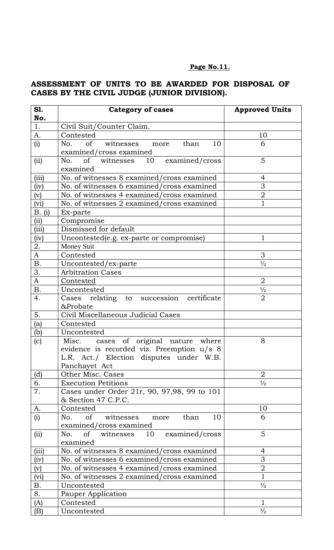## **Page No.11.**

# **ASSESSMENT OF UNITS TO BE AWARDED FOR DISPOSAL OF CASES BY THE CIVIL JUDGE (JUNIOR DIVISION).**

| S1.            | <b>Category of cases</b>                                                       | <b>Approved Units</b> |
|----------------|--------------------------------------------------------------------------------|-----------------------|
| No.<br>1.      | Civil Suit/Counter Claim.                                                      |                       |
| A.             | Contested                                                                      | 10                    |
| (i)            | of witnesses more<br>10<br>No.<br>than                                         | 6                     |
|                | examined/cross examined                                                        |                       |
| (ii)           | No. of witnesses 10 examined/cross                                             | 5                     |
|                | examined                                                                       |                       |
| (iii)          | No. of witnesses 8 examined/cross examined                                     | 4                     |
| (iv)           | No. of witnesses 6 examined/cross examined                                     | 3                     |
| $(\mathrm{v})$ | No. of witnesses 4 examined/cross examined                                     | $\overline{2}$        |
| (vi)           | No. of witnesses 2 examined/cross examined                                     | $\overline{1}$        |
| B. (i)         | Ex-parte                                                                       |                       |
| (ii)           | Compromise                                                                     |                       |
| (iii)          | Dismissed for default                                                          |                       |
| (iv)           | Uncontested (e.g. ex-parte or compromise)                                      | $\mathbf{1}$          |
| 2.             | Money Suit                                                                     |                       |
| $\mathbf{A}$   | Contested                                                                      | 3                     |
| <b>B.</b>      | Uncontested/ex-parte                                                           | $\frac{1}{2}$         |
| 3.             | <b>Arbitration Cases</b>                                                       |                       |
| $\mathbf{A}$   | Contested                                                                      | $\overline{2}$        |
| <b>B.</b>      | Uncontested                                                                    | $\frac{1}{2}$         |
| 4.             | Cases relating to succession certificate<br>&Probate                           | $\overline{2}$        |
| 5.             | Civil Miscellaneous Judicial Cases                                             |                       |
| (a)            | Contested                                                                      |                       |
| (b)            | Uncontested                                                                    |                       |
| (c)            | Misc. cases of original nature where                                           | 8                     |
|                | evidence is recorded viz. Preemption u/s 8                                     |                       |
|                | L.R. Act./ Election disputes under W.B.                                        |                       |
|                | Panchayet Act                                                                  |                       |
| (d)            | Other Misc. Cases                                                              | $\overline{2}$        |
| 6.             | <b>Execution Petitions</b>                                                     | $\frac{1}{2}$         |
| 7.             | Cases under Order 21r, 90, 97,98, 99 to 101<br>& Section 47 C.P.C.             |                       |
| A.             | Contested                                                                      | 10                    |
| (i)            | 10<br>$\circ$ f<br>No.<br>witnesses<br>than<br>more<br>examined/cross examined | 6                     |
| (ii)           | No.<br>of<br>examined/cross<br>witnesses<br>10                                 | 5                     |
|                | examined                                                                       |                       |
| (iii)          | No. of witnesses 8 examined/cross examined                                     | 4                     |
| (iv)           | No. of witnesses 6 examined/cross examined                                     | 3                     |
| (v)            | No. of witnesses 4 examined/cross examined                                     | $\overline{2}$        |
| (vi)           | No. of witnesses 2 examined/cross examined                                     | $\mathbf{1}$          |
| <b>B.</b>      | Uncontested                                                                    | $\frac{1}{2}$         |
| 8.             | Pauper Application                                                             |                       |
| (A)            | Contested                                                                      | 1                     |
| (B)            | Uncontested                                                                    | $\frac{1}{2}$         |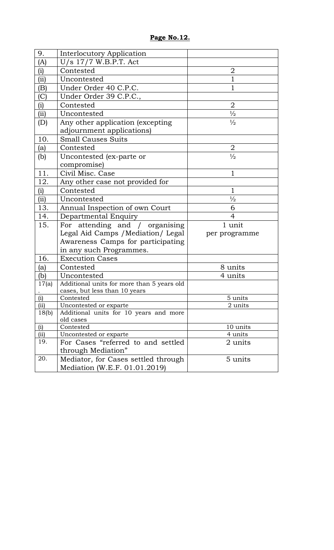| 9.    | <b>Interlocutory Application</b>                    |                |
|-------|-----------------------------------------------------|----------------|
| (A)   | $U/s$ 17/7 W.B.P.T. Act                             |                |
| (i)   | Contested                                           | $\overline{2}$ |
| (ii)  | Uncontested                                         | 1              |
| (B)   | Under Order 40 C.P.C.                               | 1              |
| (C)   | Under Order 39 C.P.C.,                              |                |
| (i)   | Contested                                           | $\overline{2}$ |
| (ii)  | Uncontested                                         | $\frac{1}{2}$  |
| (D)   | Any other application (excepting                    | $\frac{1}{2}$  |
|       | adjournment applications)                           |                |
| 10.   | <b>Small Causes Suits</b>                           |                |
| (a)   | Contested                                           | 2              |
| (b)   | Uncontested (ex-parte or                            | $\frac{1}{2}$  |
|       | compromise)                                         |                |
| 11.   | Civil Misc. Case                                    | 1              |
| 12.   | Any other case not provided for                     |                |
| (i)   | Contested                                           | 1              |
| (ii)  | Uncontested                                         | $\frac{1}{2}$  |
| 13.   | Annual Inspection of own Court                      | 6              |
| 14.   | Departmental Enquiry                                | 4              |
| 15.   | For attending and / organising                      | 1 unit         |
|       | Legal Aid Camps / Mediation/ Legal                  | per programme  |
|       | Awareness Camps for participating                   |                |
|       | in any such Programmes.                             |                |
| 16.   | <b>Execution Cases</b>                              |                |
| (a)   | Contested                                           | 8 units        |
| (b)   | Uncontested                                         | 4 units        |
| 17(a) | Additional units for more than 5 years old          |                |
|       | cases, but less than 10 years                       |                |
| (i)   | Contested                                           | 5 units        |
| (ii)  | Uncontested or exparte                              | 2 units        |
| 18(b) | Additional units for 10 years and more<br>old cases |                |
| (i)   | Contested                                           | 10 units       |
| (ii)  | Uncontested or exparte                              | 4 units        |
| 19.   | For Cases "referred to and settled                  | 2 units        |
|       | through Mediation"                                  |                |
| 20.   | Mediator, for Cases settled through                 | 5 units        |
|       | Mediation (W.E.F. 01.01.2019)                       |                |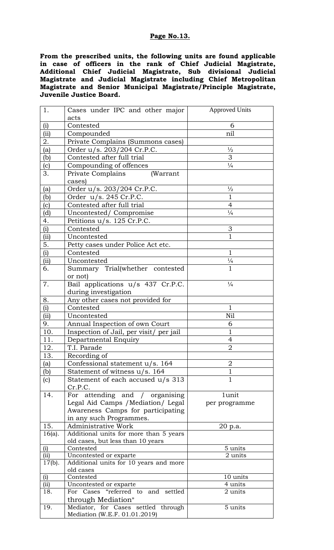### **Page No.13.**

**From the prescribed units, the following units are found applicable in case of officers in the rank of Chief Judicial Magistrate, Additional Chief Judicial Magistrate, Sub divisional Judicial Magistrate and Judicial Magistrate including Chief Metropolitan Magistrate and Senior Municipal Magistrate/Principle Magistrate, Juvenile Justice Board.** 

| 1.          | Cases under IPC and other major                              | <b>Approved Units</b> |
|-------------|--------------------------------------------------------------|-----------------------|
|             | acts                                                         |                       |
| (i)         | Contested                                                    | 6                     |
| (ii)        | Compounded                                                   | nil                   |
| 2.          | Private Complains (Summons cases)                            |                       |
| (a)         | Order u/s. 203/204 Cr.P.C.                                   | $\frac{1}{2}$         |
| (b)         | Contested after full trial                                   | 3                     |
| (c)         | Compounding of offences                                      | $\frac{1}{4}$         |
| 3.          | Private Complains<br>(Warrant                                |                       |
|             | cases)                                                       |                       |
| (a)         | Order u/s. 203/204 Cr.P.C.                                   | $\frac{1}{2}$         |
| (b)         | Order u/s. 245 Cr.P.C.                                       | $\mathbf{1}$          |
| (c)         | Contested after full trial                                   | $\overline{4}$        |
| (d)         | Uncontested/Compromise                                       | $\frac{1}{4}$         |
| 4.          | Petitions u/s. 125 Cr.P.C.                                   |                       |
| (i)         | Contested                                                    | $\mathfrak 3$         |
| (i)         | Uncontested                                                  | $\mathbf{1}$          |
| 5.          | Petty cases under Police Act etc.                            |                       |
| (i)         | Contested                                                    | $\mathbf{1}$          |
| (ii)        | Uncontested                                                  | $\frac{1}{4}$         |
| 6.          | Summary Trial(whether contested                              | $\mathbf{1}$          |
|             | or not)                                                      |                       |
| 7.          | Bail applications u/s 437 Cr.P.C.                            | $\frac{1}{4}$         |
|             | during investigation                                         |                       |
| 8.          | Any other cases not provided for                             |                       |
| (i)         | Contested                                                    | 1                     |
| (ii)        | Uncontested                                                  | Nil                   |
| 9.          | Annual Inspection of own Court                               | 6                     |
| 10.         | Inspection of Jail, per visit/ per jail                      | $\mathbf{1}$          |
| 11.         | Departmental Enquiry                                         | 4                     |
| 12.         | T.I. Parade                                                  | $\overline{2}$        |
| 13.         | Recording of                                                 |                       |
| (a)         | Confessional statement u/s. 164                              | 2                     |
| (b)         | Statement of witness u/s. 164                                | $\mathbf 1$           |
| (c)         | Statement of each accused $u/s$ 313                          | $\mathbf{1}$          |
|             | Cr.P.C.                                                      |                       |
| 14.         | For attending and / organising                               | 1unit                 |
|             | Legal Aid Camps / Mediation/ Legal                           | per programme         |
|             | Awareness Camps for participating                            |                       |
|             | in any such Programmes.                                      |                       |
| 15.         | <b>Administrative Work</b>                                   | 20 p.a.               |
| $16(a)$ .   | Additional units for more than 5 years                       |                       |
|             | old cases, but less than 10 years                            |                       |
| (i)         | Contested                                                    | 5 units               |
| (ii)        | Uncontested or exparte                                       | 2 units               |
| $17(b)$ .   | Additional units for 10 years and more                       |                       |
|             | old cases                                                    |                       |
| (i)         | Contested                                                    | 10 units              |
| (ii)<br>18. | Uncontested or exparte<br>For Cases "referred to and settled | 4 units<br>2 units    |
|             |                                                              |                       |
| 19.         | through Mediation"<br>Mediator, for Cases settled through    | 5 units               |
|             | Mediation (W.E.F. 01.01.2019)                                |                       |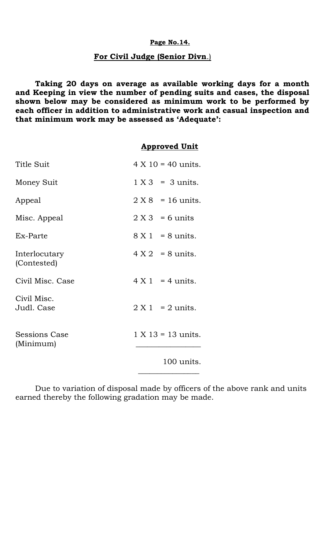### **Page No.14.**

# **For Civil Judge (Senior Divn**.)

**Taking 20 days on average as available working days for a month and Keeping in view the number of pending suits and cases, the disposal shown below may be considered as minimum work to be performed by each officer in addition to administrative work and casual inspection and that minimum work may be assessed as 'Adequate':**

### **Approved Unit**

| Title Suit                        | $4 \times 10 = 40$ units. |
|-----------------------------------|---------------------------|
| Money Suit                        | $1 X 3 = 3$ units.        |
| Appeal                            | $2 X 8 = 16$ units.       |
| Misc. Appeal                      | $2 X 3 = 6$ units         |
| Ex-Parte                          | $8 X 1 = 8$ units.        |
| Interlocutary<br>(Contested)      | $4 X 2 = 8$ units.        |
| Civil Misc. Case                  | $4 \times 1 = 4$ units.   |
| Civil Misc.<br>Judl. Case         | $2 X 1 = 2$ units.        |
| <b>Sessions Case</b><br>(Minimum) | $1 X 13 = 13$ units.      |
|                                   | 100 units.                |

Due to variation of disposal made by officers of the above rank and units earned thereby the following gradation may be made.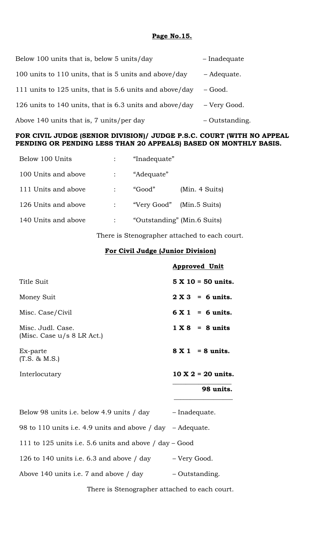### **Page No.15.**

| Below 100 units that is, below 5 units/day              | - Inadequate   |
|---------------------------------------------------------|----------------|
| 100 units to 110 units, that is 5 units and above/day   | - Adequate.    |
| 111 units to 125 units, that is 5.6 units and above/day | – Good.        |
| 126 units to 140 units, that is 6.3 units and above/day | - Very Good.   |
| Above 140 units that is, 7 units/per day                | - Outstanding. |

## **FOR CIVIL JUDGE (SENIOR DIVISION)/ JUDGE P.S.C. COURT (WITH NO APPEAL PENDING OR PENDING LESS THAN 20 APPEALS) BASED ON MONTHLY BASIS.**

| Below 100 Units     | "Inadequate"                |                |
|---------------------|-----------------------------|----------------|
| 100 Units and above | "Adequate"                  |                |
| 111 Units and above | "Good"                      | (Min. 4 Suits) |
| 126 Units and above | "Very Good" (Min.5 Suits)   |                |
| 140 Units and above | "Outstanding" (Min.6 Suits) |                |

There is Stenographer attached to each court.

## **For Civil Judge (Junior Division)**

|                                                   | <b>Approved Unit</b>       |
|---------------------------------------------------|----------------------------|
| Title Suit                                        | $5 X 10 = 50$ units.       |
| Money Suit                                        | $2 X 3 = 6$ units.         |
| Misc. Case/Civil                                  | $6X1 = 6$ units.           |
| Misc. Judl. Case.<br>(Misc. Case $u/s$ 8 LR Act.) | $1 X 8 = 8$ units          |
| Ex-parte<br>$(T.S. \& M.S.)$                      | $8 X 1 = 8 \text{ units.}$ |
| Interlocutary                                     | $10 X 2 = 20$ units.       |
|                                                   | 98 units.                  |
|                                                   |                            |

| Below 98 units i.e. below 4.9 units / day                          | - Inadequate.  |
|--------------------------------------------------------------------|----------------|
| 98 to 110 units i.e. 4.9 units and above $/$ day $-$ Adequate.     |                |
| 111 to 125 units i.e. 5.6 units and above $\frac{1}{4}$ day – Good |                |
| 126 to 140 units i.e. $6.3$ and above / day                        | – Very Good.   |
| Above 140 units i.e. 7 and above / day                             | - Outstanding. |
|                                                                    |                |

There is Stenographer attached to each court.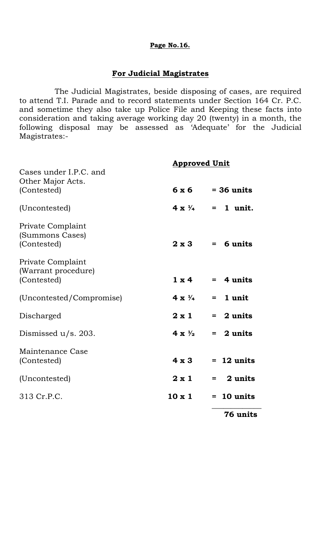### **Page No.16.**

## **For Judicial Magistrates**

 The Judicial Magistrates, beside disposing of cases, are required to attend T.I. Parade and to record statements under Section 164 Cr. P.C. and sometime they also take up Police File and Keeping these facts into consideration and taking average working day 20 (twenty) in a month, the following disposal may be assessed as 'Adequate' for the Judicial Magistrates:-

|                                                            | <b>Approved Unit</b>   |                         |
|------------------------------------------------------------|------------------------|-------------------------|
| Cases under I.P.C. and<br>Other Major Acts.<br>(Contested) | 6x6                    | $=$ 36 units            |
| (Uncontested)                                              | $4 \times \frac{1}{4}$ | 1 unit.<br>$=$          |
| Private Complaint<br>(Summons Cases)<br>(Contested)        | $2 \times 3$           | $= 6$ units             |
| Private Complaint<br>(Warrant procedure)<br>(Contested)    | $1 \times 4$           | $=$ 4 units             |
| (Uncontested/Compromise)                                   | $4 \times \frac{1}{4}$ | 1 unit<br>$=$           |
| Discharged                                                 | $2 \times 1$           | $= 2$ units             |
| Dismissed $u/s$ . 203.                                     | $4 \times \frac{1}{2}$ | $= 2$ units             |
| Maintenance Case<br>(Contested)                            | $4 \times 3$           | $= 12$ units            |
| (Uncontested)                                              | $2 \times 1$           | 2 units<br>$=$ $\qquad$ |
| 313 Cr.P.C.                                                | $10 \times 1$          | $= 10$ units            |
|                                                            |                        | 76 units                |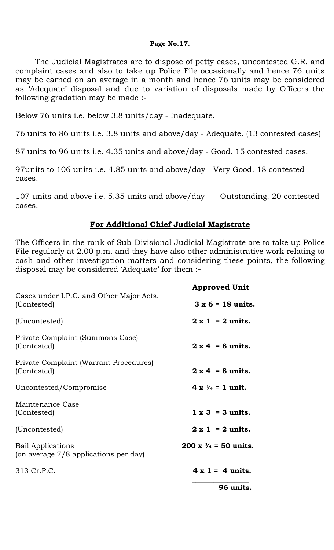### **Page No.17.**

The Judicial Magistrates are to dispose of petty cases, uncontested G.R. and complaint cases and also to take up Police File occasionally and hence 76 units may be earned on an average in a month and hence 76 units may be considered as 'Adequate' disposal and due to variation of disposals made by Officers the following gradation may be made :-

Below 76 units i.e. below 3.8 units/day - Inadequate.

76 units to 86 units i.e. 3.8 units and above/day - Adequate. (13 contested cases)

87 units to 96 units i.e. 4.35 units and above/day - Good. 15 contested cases.

97units to 106 units i.e. 4.85 units and above/day - Very Good. 18 contested cases.

107 units and above i.e. 5.35 units and above/day - Outstanding. 20 contested cases.

## **For Additional Chief Judicial Magistrate**

The Officers in the rank of Sub-Divisional Judicial Magistrate are to take up Police File regularly at 2.00 p.m. and they have also other administrative work relating to cash and other investigation matters and considering these points, the following disposal may be considered 'Adequate' for them :-

|                                                                   | <b>Approved Unit</b>             |
|-------------------------------------------------------------------|----------------------------------|
| Cases under I.P.C. and Other Major Acts.<br>(Contested)           | $3 \times 6 = 18$ units.         |
| (Uncontested)                                                     | $2 \times 1 = 2$ units.          |
| Private Complaint (Summons Case)<br>(Contested)                   | $2 \times 4 = 8$ units.          |
| Private Complaint (Warrant Procedures)<br>(Contested)             | $2 \times 4 = 8$ units.          |
| Uncontested/Compromise                                            | $4 \times \frac{1}{4} = 1$ unit. |
| Maintenance Case<br>(Contested)                                   | $1 \times 3 = 3$ units.          |
| (Uncontested)                                                     | $2 \times 1 = 2$ units.          |
| <b>Bail Applications</b><br>(on average 7/8 applications per day) | 200 x $\frac{1}{4}$ = 50 units.  |
| 313 Cr.P.C.                                                       | $4 \times 1 = 4$ units.          |
|                                                                   | 96 units.                        |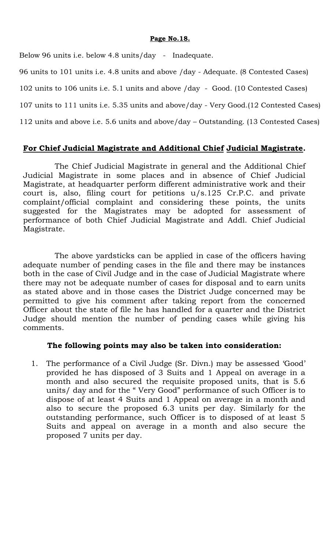### **Page No.18.**

Below 96 units i.e. below 4.8 units/day - Inadequate.

96 units to 101 units i.e. 4.8 units and above /day - Adequate. (8 Contested Cases)

102 units to 106 units i.e. 5.1 units and above /day - Good. (10 Contested Cases)

107 units to 111 units i.e. 5.35 units and above/day - Very Good.(12 Contested Cases)

112 units and above i.e. 5.6 units and above/day – Outstanding. (13 Contested Cases)

# **For Chief Judicial Magistrate and Additional Chief Judicial Magistrate.**

The Chief Judicial Magistrate in general and the Additional Chief Judicial Magistrate in some places and in absence of Chief Judicial Magistrate, at headquarter perform different administrative work and their court is, also, filing court for petitions u/s.125 Cr.P.C. and private complaint/official complaint and considering these points, the units suggested for the Magistrates may be adopted for assessment of performance of both Chief Judicial Magistrate and Addl. Chief Judicial Magistrate.

The above yardsticks can be applied in case of the officers having adequate number of pending cases in the file and there may be instances both in the case of Civil Judge and in the case of Judicial Magistrate where there may not be adequate number of cases for disposal and to earn units as stated above and in those cases the District Judge concerned may be permitted to give his comment after taking report from the concerned Officer about the state of file he has handled for a quarter and the District Judge should mention the number of pending cases while giving his comments.

# **The following points may also be taken into consideration:**

1. The performance of a Civil Judge (Sr. Divn.) may be assessed 'Good' provided he has disposed of 3 Suits and 1 Appeal on average in a month and also secured the requisite proposed units, that is 5.6 units/ day and for the " Very Good" performance of such Officer is to dispose of at least 4 Suits and 1 Appeal on average in a month and also to secure the proposed 6.3 units per day. Similarly for the outstanding performance, such Officer is to disposed of at least 5 Suits and appeal on average in a month and also secure the proposed 7 units per day.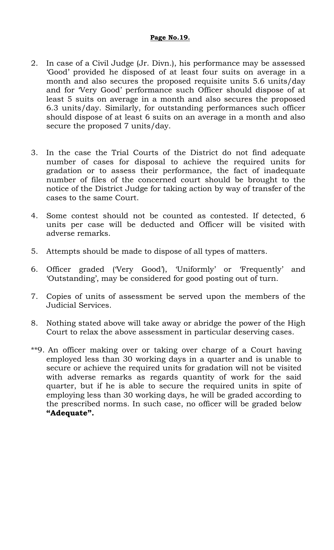## **Page No.19.**

- 2. In case of a Civil Judge (Jr. Divn.), his performance may be assessed 'Good' provided he disposed of at least four suits on average in a month and also secures the proposed requisite units 5.6 units/day and for 'Very Good' performance such Officer should dispose of at least 5 suits on average in a month and also secures the proposed 6.3 units/day. Similarly, for outstanding performances such officer should dispose of at least 6 suits on an average in a month and also secure the proposed 7 units/day.
- 3. In the case the Trial Courts of the District do not find adequate number of cases for disposal to achieve the required units for gradation or to assess their performance, the fact of inadequate number of files of the concerned court should be brought to the notice of the District Judge for taking action by way of transfer of the cases to the same Court.
- 4. Some contest should not be counted as contested. If detected, 6 units per case will be deducted and Officer will be visited with adverse remarks.
- 5. Attempts should be made to dispose of all types of matters.
- 6. Officer graded ('Very Good'), 'Uniformly' or 'Frequently' and 'Outstanding', may be considered for good posting out of turn.
- 7. Copies of units of assessment be served upon the members of the Judicial Services.
- 8. Nothing stated above will take away or abridge the power of the High Court to relax the above assessment in particular deserving cases.
- \*\*9. An officer making over or taking over charge of a Court having employed less than 30 working days in a quarter and is unable to secure or achieve the required units for gradation will not be visited with adverse remarks as regards quantity of work for the said quarter, but if he is able to secure the required units in spite of employing less than 30 working days, he will be graded according to the prescribed norms. In such case, no officer will be graded below **"Adequate".**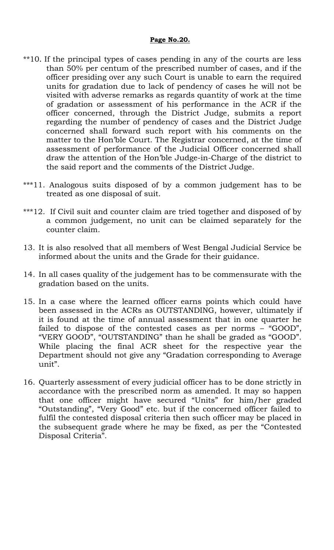- \*\*10. If the principal types of cases pending in any of the courts are less than 50% per centum of the prescribed number of cases, and if the officer presiding over any such Court is unable to earn the required units for gradation due to lack of pendency of cases he will not be visited with adverse remarks as regards quantity of work at the time of gradation or assessment of his performance in the ACR if the officer concerned, through the District Judge, submits a report regarding the number of pendency of cases and the District Judge concerned shall forward such report with his comments on the matter to the Hon'ble Court. The Registrar concerned, at the time of assessment of performance of the Judicial Officer concerned shall draw the attention of the Hon'ble Judge-in-Charge of the district to the said report and the comments of the District Judge.
- \*\*\*11. Analogous suits disposed of by a common judgement has to be treated as one disposal of suit.
- \*\*\*12. If Civil suit and counter claim are tried together and disposed of by a common judgement, no unit can be claimed separately for the counter claim.
- 13. It is also resolved that all members of West Bengal Judicial Service be informed about the units and the Grade for their guidance.
- 14. In all cases quality of the judgement has to be commensurate with the gradation based on the units.
- 15. In a case where the learned officer earns points which could have been assessed in the ACRs as OUTSTANDING, however, ultimately if it is found at the time of annual assessment that in one quarter he failed to dispose of the contested cases as per norms – "GOOD", "VERY GOOD", "OUTSTANDING" than he shall be graded as "GOOD". While placing the final ACR sheet for the respective year the Department should not give any "Gradation corresponding to Average unit".
- 16. Quarterly assessment of every judicial officer has to be done strictly in accordance with the prescribed norm as amended. It may so happen that one officer might have secured "Units" for him/her graded "Outstanding", "Very Good" etc. but if the concerned officer failed to fulfil the contested disposal criteria then such officer may be placed in the subsequent grade where he may be fixed, as per the "Contested Disposal Criteria".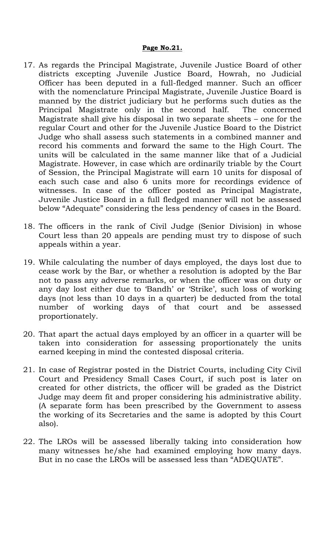- 17. As regards the Principal Magistrate, Juvenile Justice Board of other districts excepting Juvenile Justice Board, Howrah, no Judicial Officer has been deputed in a full-fledged manner. Such an officer with the nomenclature Principal Magistrate, Juvenile Justice Board is manned by the district judiciary but he performs such duties as the Principal Magistrate only in the second half. The concerned Magistrate shall give his disposal in two separate sheets – one for the regular Court and other for the Juvenile Justice Board to the District Judge who shall assess such statements in a combined manner and record his comments and forward the same to the High Court. The units will be calculated in the same manner like that of a Judicial Magistrate. However, in case which are ordinarily triable by the Court of Session, the Principal Magistrate will earn 10 units for disposal of each such case and also 6 units more for recordings evidence of witnesses. In case of the officer posted as Principal Magistrate, Juvenile Justice Board in a full fledged manner will not be assessed below "Adequate" considering the less pendency of cases in the Board.
- 18. The officers in the rank of Civil Judge (Senior Division) in whose Court less than 20 appeals are pending must try to dispose of such appeals within a year.
- 19. While calculating the number of days employed, the days lost due to cease work by the Bar, or whether a resolution is adopted by the Bar not to pass any adverse remarks, or when the officer was on duty or any day lost either due to 'Bandh' or 'Strike', such loss of working days (not less than 10 days in a quarter) be deducted from the total number of working days of that court and be assessed proportionately.
- 20. That apart the actual days employed by an officer in a quarter will be taken into consideration for assessing proportionately the units earned keeping in mind the contested disposal criteria.
- 21. In case of Registrar posted in the District Courts, including City Civil Court and Presidency Small Cases Court, if such post is later on created for other districts, the officer will be graded as the District Judge may deem fit and proper considering his administrative ability. (A separate form has been prescribed by the Government to assess the working of its Secretaries and the same is adopted by this Court also).
- 22. The LROs will be assessed liberally taking into consideration how many witnesses he/she had examined employing how many days. But in no case the LROs will be assessed less than "ADEQUATE".